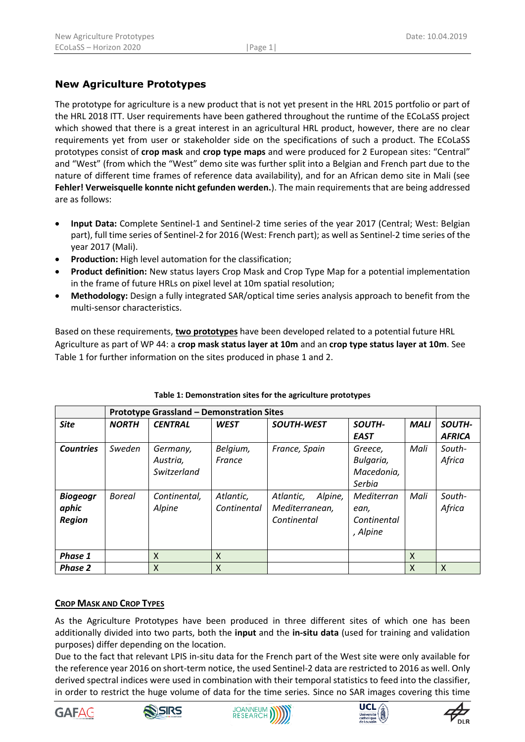# **New Agriculture Prototypes**

The prototype for agriculture is a new product that is not yet present in the HRL 2015 portfolio or part of the HRL 2018 ITT. User requirements have been gathered throughout the runtime of the ECoLaSS project which showed that there is a great interest in an agricultural HRL product, however, there are no clear requirements yet from user or stakeholder side on the specifications of such a product. The ECoLaSS prototypes consist of **crop mask** and **crop type maps** and were produced for 2 European sites: "Central" and "West" (from which the "West" demo site was further split into a Belgian and French part due to the nature of different time frames of reference data availability), and for an African demo site in Mali (see **Fehler! Verweisquelle konnte nicht gefunden werden.**). The main requirements that are being addressed are as follows:

- **Input Data:** Complete Sentinel-1 and Sentinel-2 time series of the year 2017 (Central; West: Belgian part), full time series of Sentinel-2 for 2016 (West: French part); as well as Sentinel-2 time series of the year 2017 (Mali).
- **Production:** High level automation for the classification;
- **Product definition:** New status layers Crop Mask and Crop Type Map for a potential implementation in the frame of future HRLs on pixel level at 10m spatial resolution;
- **Methodology:** Design a fully integrated SAR/optical time series analysis approach to benefit from the multi-sensor characteristics.

Based on these requirements, **two prototypes** have been developed related to a potential future HRL Agriculture as part of WP 44: a **crop mask status layer at 10m** and an **crop type status layer at 10m**. See [Table 1](#page-0-0) for further information on the sites produced in phase 1 and 2.

<span id="page-0-0"></span>

|                  | <b>Prototype Grassland - Demonstration Sites</b> |                |             |                      |             |             |               |  |
|------------------|--------------------------------------------------|----------------|-------------|----------------------|-------------|-------------|---------------|--|
| <b>Site</b>      | <b>NORTH</b>                                     | <b>CENTRAL</b> | <b>WEST</b> | <b>SOUTH-WEST</b>    | SOUTH-      | <b>MALI</b> | SOUTH-        |  |
|                  |                                                  |                |             |                      | <b>EAST</b> |             | <b>AFRICA</b> |  |
| <b>Countries</b> | Sweden                                           | Germany,       | Belgium,    | France, Spain        | Greece,     | Mali        | South-        |  |
|                  |                                                  | Austria,       | France      |                      | Bulgaria,   |             | Africa        |  |
|                  |                                                  | Switzerland    |             |                      | Macedonia,  |             |               |  |
|                  |                                                  |                |             |                      | Serbia      |             |               |  |
| <b>Biogeogr</b>  | <b>Boreal</b>                                    | Continental,   | Atlantic,   | Alpine,<br>Atlantic, | Mediterran  | Mali        | South-        |  |
| aphic            |                                                  | Alpine         | Continental | Mediterranean,       | ean,        |             | Africa        |  |
| <b>Region</b>    |                                                  |                |             | Continental          | Continental |             |               |  |
|                  |                                                  |                |             |                      | , Alpine    |             |               |  |
|                  |                                                  |                |             |                      |             |             |               |  |
| Phase 1          |                                                  | X              | X           |                      |             | X           |               |  |
| <b>Phase 2</b>   |                                                  | X              | X           |                      |             | X           | $\mathsf{x}$  |  |

### **Table 1: Demonstration sites for the agriculture prototypes**

#### **CROP MASK AND CROP TYPES**

As the Agriculture Prototypes have been produced in three different sites of which one has been additionally divided into two parts, both the **input** and the **in-situ data** (used for training and validation purposes) differ depending on the location.

Due to the fact that relevant LPIS in-situ data for the French part of the West site were only available for the reference year 2016 on short-term notice, the used Sentinel-2 data are restricted to 2016 as well. Only derived spectral indices were used in combination with their temporal statistics to feed into the classifier, in order to restrict the huge volume of data for the time series. Since no SAR images covering this time









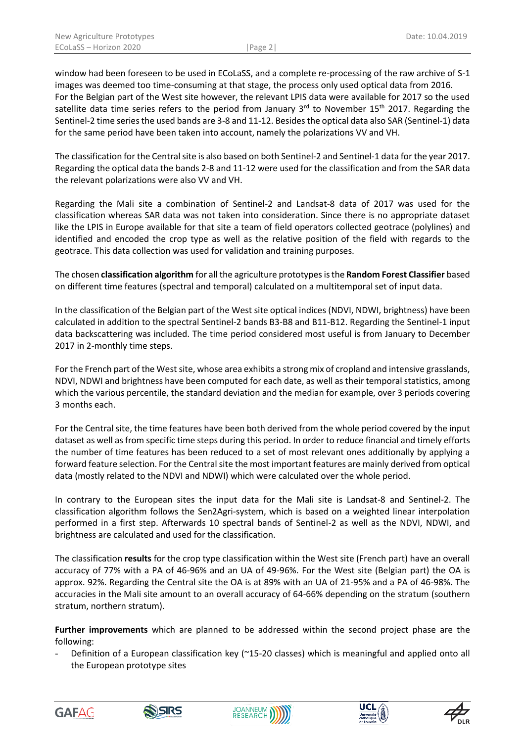window had been foreseen to be used in ECoLaSS, and a complete re-processing of the raw archive of S-1 images was deemed too time-consuming at that stage, the process only used optical data from 2016. For the Belgian part of the West site however, the relevant LPIS data were available for 2017 so the used satellite data time series refers to the period from January  $3^{rd}$  to November 15<sup>th</sup> 2017. Regarding the Sentinel-2 time series the used bands are 3-8 and 11-12. Besides the optical data also SAR (Sentinel-1) data for the same period have been taken into account, namely the polarizations VV and VH.

The classification for the Central site is also based on both Sentinel-2 and Sentinel-1 data for the year 2017. Regarding the optical data the bands 2-8 and 11-12 were used for the classification and from the SAR data the relevant polarizations were also VV and VH.

Regarding the Mali site a combination of Sentinel-2 and Landsat-8 data of 2017 was used for the classification whereas SAR data was not taken into consideration. Since there is no appropriate dataset like the LPIS in Europe available for that site a team of field operators collected geotrace (polylines) and identified and encoded the crop type as well as the relative position of the field with regards to the geotrace. This data collection was used for validation and training purposes.

The chosen **classification algorithm** for all the agriculture prototypes is the **Random Forest Classifier** based on different time features (spectral and temporal) calculated on a multitemporal set of input data.

In the classification of the Belgian part of the West site optical indices (NDVI, NDWI, brightness) have been calculated in addition to the spectral Sentinel-2 bands B3-B8 and B11-B12. Regarding the Sentinel-1 input data backscattering was included. The time period considered most useful is from January to December 2017 in 2-monthly time steps.

For the French part of the West site, whose area exhibits a strong mix of cropland and intensive grasslands, NDVI, NDWI and brightness have been computed for each date, as well as their temporal statistics, among which the various percentile, the standard deviation and the median for example, over 3 periods covering 3 months each.

For the Central site, the time features have been both derived from the whole period covered by the input dataset as well as from specific time steps during this period. In order to reduce financial and timely efforts the number of time features has been reduced to a set of most relevant ones additionally by applying a forward feature selection. For the Central site the most important features are mainly derived from optical data (mostly related to the NDVI and NDWI) which were calculated over the whole period.

In contrary to the European sites the input data for the Mali site is Landsat-8 and Sentinel-2. The classification algorithm follows the Sen2Agri-system, which is based on a weighted linear interpolation performed in a first step. Afterwards 10 spectral bands of Sentinel-2 as well as the NDVI, NDWI, and brightness are calculated and used for the classification.

The classification **results** for the crop type classification within the West site (French part) have an overall accuracy of 77% with a PA of 46-96% and an UA of 49-96%. For the West site (Belgian part) the OA is approx. 92%. Regarding the Central site the OA is at 89% with an UA of 21-95% and a PA of 46-98%. The accuracies in the Mali site amount to an overall accuracy of 64-66% depending on the stratum (southern stratum, northern stratum).

**Further improvements** which are planned to be addressed within the second project phase are the following:

Definition of a European classification key (~15-20 classes) which is meaningful and applied onto all the European prototype sites









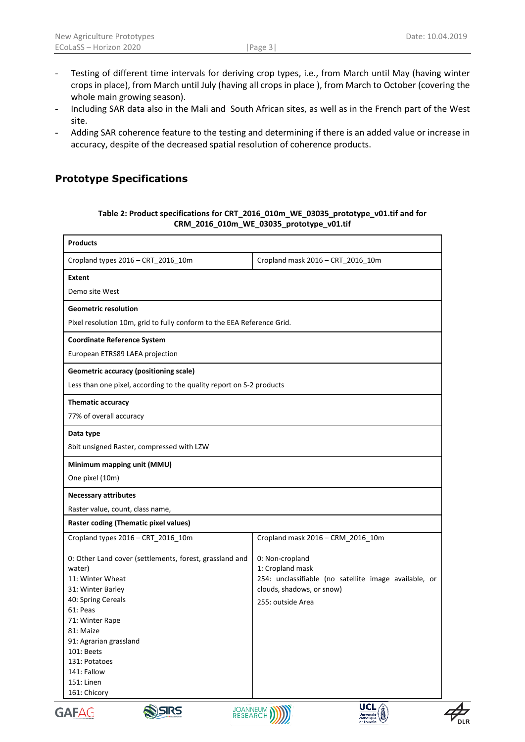- Testing of different time intervals for deriving crop types, i.e., from March until May (having winter crops in place), from March until July (having all crops in place ), from March to October (covering the whole main growing season).
- Including SAR data also in the Mali and South African sites, as well as in the French part of the West site.
- Adding SAR coherence feature to the testing and determining if there is an added value or increase in accuracy, despite of the decreased spatial resolution of coherence products.

## **Prototype Specifications**

#### **Table 2: Product specifications for CRT\_2016\_010m\_WE\_03035\_prototype\_v01.tif and for CRM\_2016\_010m\_WE\_03035\_prototype\_v01.tif**

| <b>Products</b>                                                                                                                                                                                                      |                                                                                                                                                |  |  |  |  |
|----------------------------------------------------------------------------------------------------------------------------------------------------------------------------------------------------------------------|------------------------------------------------------------------------------------------------------------------------------------------------|--|--|--|--|
| Cropland types 2016 - CRT_2016_10m                                                                                                                                                                                   | Cropland mask 2016 - CRT_2016_10m                                                                                                              |  |  |  |  |
| <b>Extent</b>                                                                                                                                                                                                        |                                                                                                                                                |  |  |  |  |
| Demo site West                                                                                                                                                                                                       |                                                                                                                                                |  |  |  |  |
| <b>Geometric resolution</b>                                                                                                                                                                                          |                                                                                                                                                |  |  |  |  |
| Pixel resolution 10m, grid to fully conform to the EEA Reference Grid.                                                                                                                                               |                                                                                                                                                |  |  |  |  |
| <b>Coordinate Reference System</b>                                                                                                                                                                                   |                                                                                                                                                |  |  |  |  |
| European ETRS89 LAEA projection                                                                                                                                                                                      |                                                                                                                                                |  |  |  |  |
| <b>Geometric accuracy (positioning scale)</b>                                                                                                                                                                        |                                                                                                                                                |  |  |  |  |
| Less than one pixel, according to the quality report on S-2 products                                                                                                                                                 |                                                                                                                                                |  |  |  |  |
| <b>Thematic accuracy</b>                                                                                                                                                                                             |                                                                                                                                                |  |  |  |  |
| 77% of overall accuracy                                                                                                                                                                                              |                                                                                                                                                |  |  |  |  |
| Data type                                                                                                                                                                                                            |                                                                                                                                                |  |  |  |  |
| 8bit unsigned Raster, compressed with LZW                                                                                                                                                                            |                                                                                                                                                |  |  |  |  |
| Minimum mapping unit (MMU)                                                                                                                                                                                           |                                                                                                                                                |  |  |  |  |
| One pixel (10m)                                                                                                                                                                                                      |                                                                                                                                                |  |  |  |  |
| <b>Necessary attributes</b>                                                                                                                                                                                          |                                                                                                                                                |  |  |  |  |
| Raster value, count, class name,                                                                                                                                                                                     |                                                                                                                                                |  |  |  |  |
| <b>Raster coding (Thematic pixel values)</b>                                                                                                                                                                         |                                                                                                                                                |  |  |  |  |
| Cropland types 2016 - CRT_2016_10m                                                                                                                                                                                   | Cropland mask 2016 - CRM_2016_10m                                                                                                              |  |  |  |  |
| 0: Other Land cover (settlements, forest, grassland and<br>water)<br>11: Winter Wheat<br>31: Winter Barley<br>40: Spring Cereals<br>61: Peas<br>71: Winter Rape<br>81: Maize<br>91: Agrarian grassland<br>101: Beets | 0: Non-cropland<br>1: Cropland mask<br>254: unclassifiable (no satellite image available, or<br>clouds, shadows, or snow)<br>255: outside Area |  |  |  |  |
| 131: Potatoes<br>141: Fallow<br>151: Linen<br>161: Chicory<br><b>ASIRS</b><br>MCAC                                                                                                                                   | UCL<br><b>JOANNEUM MINY</b>                                                                                                                    |  |  |  |  |







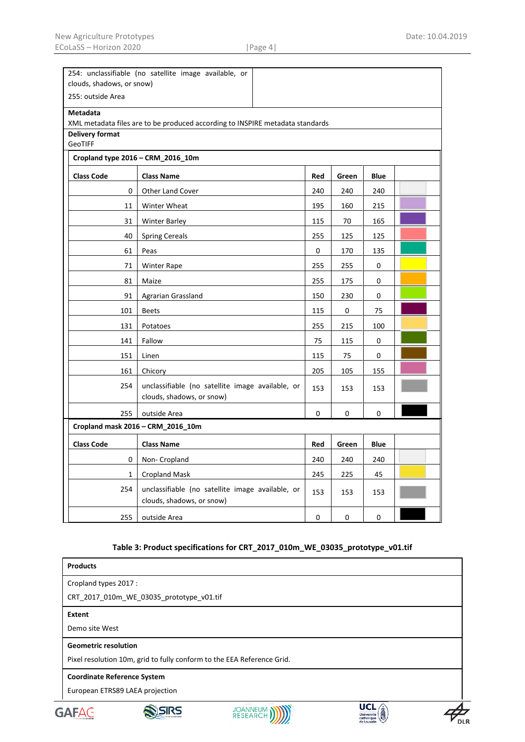| 254: unclassifiable (no satellite image available, or |                                                                               |     |       |      |  |  |  |  |  |
|-------------------------------------------------------|-------------------------------------------------------------------------------|-----|-------|------|--|--|--|--|--|
| clouds, shadows, or snow)                             |                                                                               |     |       |      |  |  |  |  |  |
|                                                       | 255: outside Area                                                             |     |       |      |  |  |  |  |  |
| <b>Metadata</b>                                       |                                                                               |     |       |      |  |  |  |  |  |
| Delivery format                                       | XML metadata files are to be produced according to INSPIRE metadata standards |     |       |      |  |  |  |  |  |
| GeoTIFF                                               |                                                                               |     |       |      |  |  |  |  |  |
| Cropland type 2016 - CRM_2016_10m                     |                                                                               |     |       |      |  |  |  |  |  |
| <b>Class Code</b>                                     | <b>Class Name</b>                                                             | Red | Green | Blue |  |  |  |  |  |
| 0                                                     | <b>Other Land Cover</b>                                                       | 240 | 240   | 240  |  |  |  |  |  |
| 11                                                    | Winter Wheat                                                                  | 195 | 160   | 215  |  |  |  |  |  |
| 31                                                    | <b>Winter Barley</b>                                                          | 115 | 70    | 165  |  |  |  |  |  |
| 40                                                    | <b>Spring Cereals</b>                                                         | 255 | 125   | 125  |  |  |  |  |  |
| 61                                                    | Peas                                                                          | 0   | 170   | 135  |  |  |  |  |  |
| 71                                                    | Winter Rape                                                                   | 255 | 255   | 0    |  |  |  |  |  |
| 81                                                    | Maize                                                                         |     |       | 0    |  |  |  |  |  |
| 91                                                    | Agrarian Grassland                                                            | 150 | 230   | 0    |  |  |  |  |  |
| 101                                                   | <b>Beets</b>                                                                  | 115 | 0     | 75   |  |  |  |  |  |
| 131                                                   | Potatoes                                                                      | 255 | 215   | 100  |  |  |  |  |  |
| 141                                                   | Fallow                                                                        | 75  | 115   | 0    |  |  |  |  |  |
| 151                                                   | Linen                                                                         | 115 | 75    | 0    |  |  |  |  |  |
| 161                                                   | Chicory                                                                       | 205 | 105   | 155  |  |  |  |  |  |
| 254                                                   | unclassifiable (no satellite image available, or<br>clouds, shadows, or snow) | 153 | 153   | 153  |  |  |  |  |  |
| 255                                                   | outside Area                                                                  | 0   | 0     | 0    |  |  |  |  |  |
|                                                       | Cropland mask 2016 - CRM_2016_10m                                             |     |       |      |  |  |  |  |  |
| <b>Class Code</b><br><b>Class Name</b>                |                                                                               |     | Green | Blue |  |  |  |  |  |
| 0                                                     | Non- Cropland                                                                 | 240 | 240   | 240  |  |  |  |  |  |
| 1                                                     | <b>Cropland Mask</b>                                                          | 245 | 225   | 45   |  |  |  |  |  |
| 254                                                   | unclassifiable (no satellite image available, or<br>clouds, shadows, or snow) | 153 | 153   | 153  |  |  |  |  |  |
| 255                                                   | outside Area                                                                  | 0   | 0     | 0    |  |  |  |  |  |

### **Table 3: Product specifications for CRT\_2017\_010m\_WE\_03035\_prototype\_v01.tif**

| <b>Products</b>                                                       |                                                                        |                                               |  |  |  |  |  |  |
|-----------------------------------------------------------------------|------------------------------------------------------------------------|-----------------------------------------------|--|--|--|--|--|--|
| Cropland types 2017 :                                                 |                                                                        |                                               |  |  |  |  |  |  |
| CRT_2017_010m_WE_03035_prototype_v01.tif                              |                                                                        |                                               |  |  |  |  |  |  |
| Extent                                                                |                                                                        |                                               |  |  |  |  |  |  |
| Demo site West                                                        |                                                                        |                                               |  |  |  |  |  |  |
| <b>Geometric resolution</b>                                           |                                                                        |                                               |  |  |  |  |  |  |
|                                                                       | Pixel resolution 10m, grid to fully conform to the EEA Reference Grid. |                                               |  |  |  |  |  |  |
| <b>Coordinate Reference System</b><br>European ETRS89 LAEA projection |                                                                        |                                               |  |  |  |  |  |  |
| $G\Delta F\Delta$                                                     | <b>JOANNEUM</b><br>RESEARCH                                            | UCI<br>Université<br>catholique<br>de Louvain |  |  |  |  |  |  |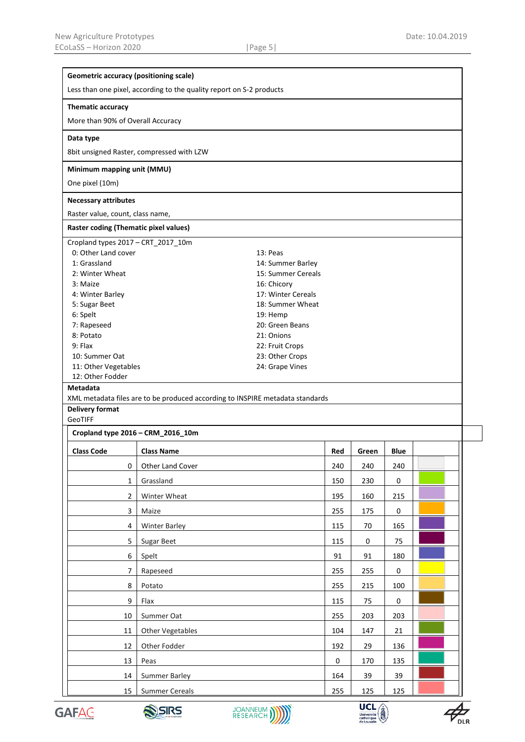| <b>Geometric accuracy (positioning scale)</b>                        |                                                                               |                    |             |       |             |  |  |  |  |
|----------------------------------------------------------------------|-------------------------------------------------------------------------------|--------------------|-------------|-------|-------------|--|--|--|--|
| Less than one pixel, according to the quality report on S-2 products |                                                                               |                    |             |       |             |  |  |  |  |
| Thematic accuracy                                                    |                                                                               |                    |             |       |             |  |  |  |  |
| More than 90% of Overall Accuracy                                    |                                                                               |                    |             |       |             |  |  |  |  |
| Data type                                                            |                                                                               |                    |             |       |             |  |  |  |  |
|                                                                      | 8bit unsigned Raster, compressed with LZW                                     |                    |             |       |             |  |  |  |  |
| Minimum mapping unit (MMU)                                           |                                                                               |                    |             |       |             |  |  |  |  |
| One pixel (10m)                                                      |                                                                               |                    |             |       |             |  |  |  |  |
| <b>Necessary attributes</b>                                          |                                                                               |                    |             |       |             |  |  |  |  |
| Raster value, count, class name,                                     |                                                                               |                    |             |       |             |  |  |  |  |
| Raster coding (Thematic pixel values)                                |                                                                               |                    |             |       |             |  |  |  |  |
| Cropland types 2017 - CRT_2017_10m                                   |                                                                               |                    |             |       |             |  |  |  |  |
| 0: Other Land cover                                                  |                                                                               | 13: Peas           |             |       |             |  |  |  |  |
| 1: Grassland                                                         |                                                                               | 14: Summer Barley  |             |       |             |  |  |  |  |
| 2: Winter Wheat                                                      |                                                                               | 15: Summer Cereals |             |       |             |  |  |  |  |
| 3: Maize                                                             |                                                                               | 16: Chicory        |             |       |             |  |  |  |  |
| 4: Winter Barley                                                     |                                                                               | 17: Winter Cereals |             |       |             |  |  |  |  |
| 5: Sugar Beet                                                        |                                                                               | 18: Summer Wheat   |             |       |             |  |  |  |  |
| 6: Spelt                                                             |                                                                               | 19: Hemp           |             |       |             |  |  |  |  |
| 7: Rapeseed                                                          |                                                                               | 20: Green Beans    |             |       |             |  |  |  |  |
| 8: Potato                                                            |                                                                               | 21: Onions         |             |       |             |  |  |  |  |
| 9: Flax                                                              |                                                                               | 22: Fruit Crops    |             |       |             |  |  |  |  |
| 10: Summer Oat                                                       |                                                                               | 23: Other Crops    |             |       |             |  |  |  |  |
| 11: Other Vegetables                                                 |                                                                               | 24: Grape Vines    |             |       |             |  |  |  |  |
| 12: Other Fodder                                                     |                                                                               |                    |             |       |             |  |  |  |  |
| <b>Metadata</b>                                                      |                                                                               |                    |             |       |             |  |  |  |  |
|                                                                      | XML metadata files are to be produced according to INSPIRE metadata standards |                    |             |       |             |  |  |  |  |
| <b>Delivery format</b>                                               |                                                                               |                    |             |       |             |  |  |  |  |
| GeoTIFF                                                              |                                                                               |                    |             |       |             |  |  |  |  |
| Cropland type 2016 - CRM_2016_10m                                    |                                                                               |                    |             |       |             |  |  |  |  |
| <b>Class Code</b>                                                    | <b>Class Name</b>                                                             |                    | Red         | Green | <b>Blue</b> |  |  |  |  |
| 0                                                                    | Other Land Cover                                                              |                    | 240         | 240   | 240         |  |  |  |  |
| $\mathbf{1}$                                                         | Grassland                                                                     |                    | 150         | 230   | $\mathbf 0$ |  |  |  |  |
| $\overline{2}$                                                       | Winter Wheat                                                                  |                    | 195         | 160   | 215         |  |  |  |  |
| $\mathbf{3}$                                                         | Maize                                                                         |                    | 255         | 175   | 0           |  |  |  |  |
| $\overline{4}$                                                       | <b>Winter Barley</b>                                                          |                    | 115         | 70    | 165         |  |  |  |  |
| 5                                                                    | Sugar Beet                                                                    |                    | 115         | 0     | 75          |  |  |  |  |
| 6                                                                    | Spelt                                                                         |                    | 91          | 91    | 180         |  |  |  |  |
| $\overline{7}$                                                       | Rapeseed                                                                      |                    |             | 255   | 0           |  |  |  |  |
| 8                                                                    | Potato                                                                        |                    |             | 215   | 100         |  |  |  |  |
| 9                                                                    | Flax                                                                          |                    |             | 75    | $\mathbf 0$ |  |  |  |  |
| 10                                                                   | Summer Oat                                                                    |                    |             | 203   | 203         |  |  |  |  |
| 11                                                                   | Other Vegetables                                                              |                    |             | 147   | 21          |  |  |  |  |
| 12                                                                   | Other Fodder                                                                  |                    | 192         | 29    | 136         |  |  |  |  |
| 13                                                                   | Peas                                                                          |                    | $\mathbf 0$ | 170   | 135         |  |  |  |  |
| 14                                                                   | <b>Summer Barley</b>                                                          |                    | 164         | 39    | 39          |  |  |  |  |
| 15                                                                   | <b>Summer Cereals</b>                                                         |                    | 255         | 125   | 125         |  |  |  |  |









 $\cancel{P_{\scriptscriptstyle{\sf DLR}}}$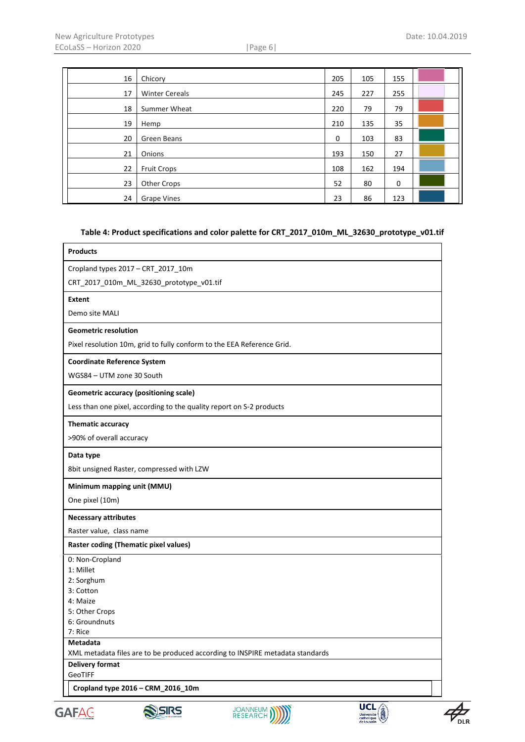| 16 | Chicory               | 205         | 105 | 155         |  |
|----|-----------------------|-------------|-----|-------------|--|
| 17 | <b>Winter Cereals</b> | 245         | 227 | 255         |  |
| 18 | Summer Wheat          | 220         | 79  | 79          |  |
| 19 | Hemp                  | 210         | 135 | 35          |  |
| 20 | Green Beans           | $\mathbf 0$ | 103 | 83          |  |
| 21 | Onions                | 193         | 150 | 27          |  |
| 22 | <b>Fruit Crops</b>    | 108         | 162 | 194         |  |
| 23 | Other Crops           | 52          | 80  | $\mathbf 0$ |  |
| 24 | <b>Grape Vines</b>    | 23          | 86  | 123         |  |

### **Table 4: Product specifications and color palette for CRT\_2017\_010m\_ML\_32630\_prototype\_v01.tif**

| 2: Sorghum<br>3: Cotton<br>4: Maize<br>5: Other Crops<br>6: Groundnuts<br>7: Rice<br>Metadata<br>XML metadata files are to be produced according to INSPIRE metadata standards<br><b>Delivery format</b><br>GeoTIFF<br>Cropland type 2016 - CRM_2016_10m | Cropland types 2017 - CRT 2017 10m<br>CRT_2017_010m_ML_32630_prototype_v01.tif<br><b>Extent</b><br>Demo site MALI |  |
|----------------------------------------------------------------------------------------------------------------------------------------------------------------------------------------------------------------------------------------------------------|-------------------------------------------------------------------------------------------------------------------|--|
|                                                                                                                                                                                                                                                          |                                                                                                                   |  |
|                                                                                                                                                                                                                                                          |                                                                                                                   |  |
|                                                                                                                                                                                                                                                          |                                                                                                                   |  |
|                                                                                                                                                                                                                                                          |                                                                                                                   |  |
|                                                                                                                                                                                                                                                          | <b>Geometric resolution</b>                                                                                       |  |
|                                                                                                                                                                                                                                                          | Pixel resolution 10m, grid to fully conform to the EEA Reference Grid.                                            |  |
|                                                                                                                                                                                                                                                          | <b>Coordinate Reference System</b>                                                                                |  |
|                                                                                                                                                                                                                                                          | WGS84 - UTM zone 30 South                                                                                         |  |
|                                                                                                                                                                                                                                                          | <b>Geometric accuracy (positioning scale)</b>                                                                     |  |
|                                                                                                                                                                                                                                                          | Less than one pixel, according to the quality report on S-2 products                                              |  |
|                                                                                                                                                                                                                                                          | Thematic accuracy                                                                                                 |  |
|                                                                                                                                                                                                                                                          | >90% of overall accuracy                                                                                          |  |
|                                                                                                                                                                                                                                                          | Data type                                                                                                         |  |
|                                                                                                                                                                                                                                                          | 8bit unsigned Raster, compressed with LZW                                                                         |  |
|                                                                                                                                                                                                                                                          | Minimum mapping unit (MMU)                                                                                        |  |
|                                                                                                                                                                                                                                                          | One pixel (10m)                                                                                                   |  |
|                                                                                                                                                                                                                                                          | <b>Necessary attributes</b>                                                                                       |  |
|                                                                                                                                                                                                                                                          | Raster value, class name                                                                                          |  |
|                                                                                                                                                                                                                                                          | <b>Raster coding (Thematic pixel values)</b>                                                                      |  |
|                                                                                                                                                                                                                                                          | 0: Non-Cropland                                                                                                   |  |
|                                                                                                                                                                                                                                                          | 1: Millet                                                                                                         |  |
|                                                                                                                                                                                                                                                          |                                                                                                                   |  |
|                                                                                                                                                                                                                                                          |                                                                                                                   |  |
|                                                                                                                                                                                                                                                          |                                                                                                                   |  |
|                                                                                                                                                                                                                                                          |                                                                                                                   |  |
|                                                                                                                                                                                                                                                          |                                                                                                                   |  |
|                                                                                                                                                                                                                                                          |                                                                                                                   |  |
|                                                                                                                                                                                                                                                          |                                                                                                                   |  |
|                                                                                                                                                                                                                                                          |                                                                                                                   |  |
|                                                                                                                                                                                                                                                          |                                                                                                                   |  |
|                                                                                                                                                                                                                                                          |                                                                                                                   |  |
|                                                                                                                                                                                                                                                          |                                                                                                                   |  |
| <b>UCL</b><br><b>JOANNEUM</b><br>RESEARCH<br>SIRS<br><b>AND</b>                                                                                                                                                                                          |                                                                                                                   |  |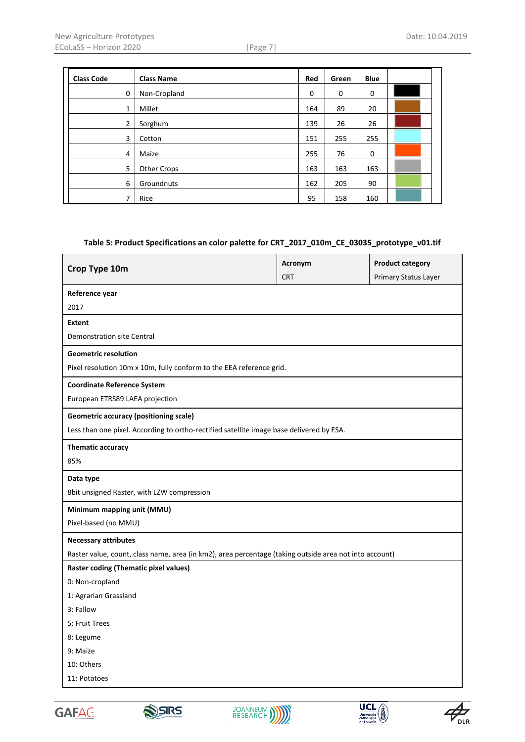| <b>Class Code</b> | <b>Class Name</b> | Red         | Green | <b>Blue</b> |  |
|-------------------|-------------------|-------------|-------|-------------|--|
| $\mathbf 0$       | Non-Cropland      | $\mathbf 0$ | 0     | $\mathbf 0$ |  |
| 1                 | Millet            | 164         | 89    | 20          |  |
| $\overline{2}$    | Sorghum           | 139         | 26    | 26          |  |
| 3                 | Cotton            | 151         | 255   | 255         |  |
| $\overline{4}$    | Maize             | 255         | 76    | $\mathbf 0$ |  |
| 5                 | Other Crops       | 163         | 163   | 163         |  |
| 6                 | Groundnuts        | 162         | 205   | 90          |  |
| 7                 | Rice              | 95          | 158   | 160         |  |

#### **Table 5: Product Specifications an color palette for CRT\_2017\_010m\_CE\_03035\_prototype\_v01.tif**

| Crop Type 10m                                                                                          | Acronym    | <b>Product category</b> |  |  |  |  |  |  |
|--------------------------------------------------------------------------------------------------------|------------|-------------------------|--|--|--|--|--|--|
|                                                                                                        | <b>CRT</b> | Primary Status Layer    |  |  |  |  |  |  |
| Reference year                                                                                         |            |                         |  |  |  |  |  |  |
| 2017                                                                                                   |            |                         |  |  |  |  |  |  |
| <b>Extent</b>                                                                                          |            |                         |  |  |  |  |  |  |
| <b>Demonstration site Central</b>                                                                      |            |                         |  |  |  |  |  |  |
| <b>Geometric resolution</b>                                                                            |            |                         |  |  |  |  |  |  |
| Pixel resolution 10m x 10m, fully conform to the EEA reference grid.                                   |            |                         |  |  |  |  |  |  |
| <b>Coordinate Reference System</b>                                                                     |            |                         |  |  |  |  |  |  |
| European ETRS89 LAEA projection                                                                        |            |                         |  |  |  |  |  |  |
| <b>Geometric accuracy (positioning scale)</b>                                                          |            |                         |  |  |  |  |  |  |
| Less than one pixel. According to ortho-rectified satellite image base delivered by ESA.               |            |                         |  |  |  |  |  |  |
| Thematic accuracy                                                                                      |            |                         |  |  |  |  |  |  |
| 85%                                                                                                    |            |                         |  |  |  |  |  |  |
| Data type                                                                                              |            |                         |  |  |  |  |  |  |
| 8bit unsigned Raster, with LZW compression                                                             |            |                         |  |  |  |  |  |  |
| Minimum mapping unit (MMU)                                                                             |            |                         |  |  |  |  |  |  |
| Pixel-based (no MMU)                                                                                   |            |                         |  |  |  |  |  |  |
| <b>Necessary attributes</b>                                                                            |            |                         |  |  |  |  |  |  |
| Raster value, count, class name, area (in km2), area percentage (taking outside area not into account) |            |                         |  |  |  |  |  |  |
| <b>Raster coding (Thematic pixel values)</b>                                                           |            |                         |  |  |  |  |  |  |
| 0: Non-cropland                                                                                        |            |                         |  |  |  |  |  |  |
| 1: Agrarian Grassland                                                                                  |            |                         |  |  |  |  |  |  |
| 3: Fallow                                                                                              |            |                         |  |  |  |  |  |  |
| 5: Fruit Trees                                                                                         |            |                         |  |  |  |  |  |  |
| 8: Legume                                                                                              |            |                         |  |  |  |  |  |  |
| 9: Maize                                                                                               |            |                         |  |  |  |  |  |  |
| 10: Others                                                                                             |            |                         |  |  |  |  |  |  |
| 11: Potatoes                                                                                           |            |                         |  |  |  |  |  |  |
|                                                                                                        |            |                         |  |  |  |  |  |  |









 $\sum_{\text{DLR}}$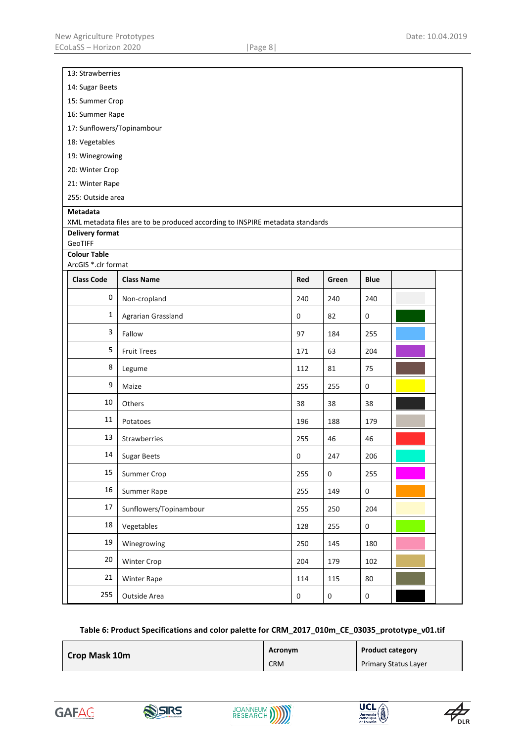| 13: Strawberries                           |                                                                               |             |                  |                  |  |  |  |  |
|--------------------------------------------|-------------------------------------------------------------------------------|-------------|------------------|------------------|--|--|--|--|
| 14: Sugar Beets                            |                                                                               |             |                  |                  |  |  |  |  |
| 15: Summer Crop                            |                                                                               |             |                  |                  |  |  |  |  |
| 16: Summer Rape                            |                                                                               |             |                  |                  |  |  |  |  |
| 17: Sunflowers/Topinambour                 |                                                                               |             |                  |                  |  |  |  |  |
| 18: Vegetables                             |                                                                               |             |                  |                  |  |  |  |  |
| 19: Winegrowing                            |                                                                               |             |                  |                  |  |  |  |  |
| 20: Winter Crop                            |                                                                               |             |                  |                  |  |  |  |  |
| 21: Winter Rape                            |                                                                               |             |                  |                  |  |  |  |  |
| 255: Outside area                          |                                                                               |             |                  |                  |  |  |  |  |
| Metadata                                   | XML metadata files are to be produced according to INSPIRE metadata standards |             |                  |                  |  |  |  |  |
| <b>Delivery format</b>                     |                                                                               |             |                  |                  |  |  |  |  |
| GeoTIFF                                    |                                                                               |             |                  |                  |  |  |  |  |
| <b>Colour Table</b><br>ArcGIS *.clr format |                                                                               |             |                  |                  |  |  |  |  |
| <b>Class Code</b>                          | <b>Class Name</b>                                                             | Red         | Green            | <b>Blue</b>      |  |  |  |  |
| $\pmb{0}$                                  |                                                                               |             |                  |                  |  |  |  |  |
|                                            | Non-cropland                                                                  | 240         | 240              | 240              |  |  |  |  |
| $\mathbf 1$                                | Agrarian Grassland                                                            | $\mathbf 0$ | 82               | $\boldsymbol{0}$ |  |  |  |  |
| $\mathsf 3$                                | Fallow                                                                        | 97          | 184              | 255              |  |  |  |  |
| 5                                          | <b>Fruit Trees</b>                                                            | 171         | 63               | 204              |  |  |  |  |
| 8                                          | Legume                                                                        | 112         | 81               | 75               |  |  |  |  |
| $\boldsymbol{9}$                           | Maize                                                                         | 255         | 255              | 0                |  |  |  |  |
| 10                                         | Others                                                                        | 38          | 38               | 38               |  |  |  |  |
| 11                                         | Potatoes                                                                      | 196         | 188              | 179              |  |  |  |  |
| 13                                         | Strawberries                                                                  | 255         | 46               | 46               |  |  |  |  |
| 14                                         | Sugar Beets                                                                   | $\pmb{0}$   | 247              | 206              |  |  |  |  |
| 15                                         | Summer Crop                                                                   | 255         | $\boldsymbol{0}$ | 255              |  |  |  |  |
| 16                                         | Summer Rape                                                                   | 255         | 149              | $\mathbf 0$      |  |  |  |  |
| $17\,$                                     | Sunflowers/Topinambour                                                        | 255         | 250              | 204              |  |  |  |  |
| 18                                         | Vegetables                                                                    | 128         | 255              | $\boldsymbol{0}$ |  |  |  |  |
| 19                                         | Winegrowing                                                                   | 250         | 145              | 180              |  |  |  |  |
| $20\,$                                     | Winter Crop                                                                   | 204         | 179              | 102              |  |  |  |  |
| 21                                         | Winter Rape                                                                   | 114         | 115              | 80               |  |  |  |  |
| 255                                        | Outside Area                                                                  | $\pmb{0}$   | $\pmb{0}$        | $\boldsymbol{0}$ |  |  |  |  |

#### **Table 6: Product Specifications and color palette for CRM\_2017\_010m\_CE\_03035\_prototype\_v01.tif**

| Crop Mask 10m | Acronym    | <b>Product category</b>     |
|---------------|------------|-----------------------------|
|               | <b>CRM</b> | <b>Primary Status Layer</b> |